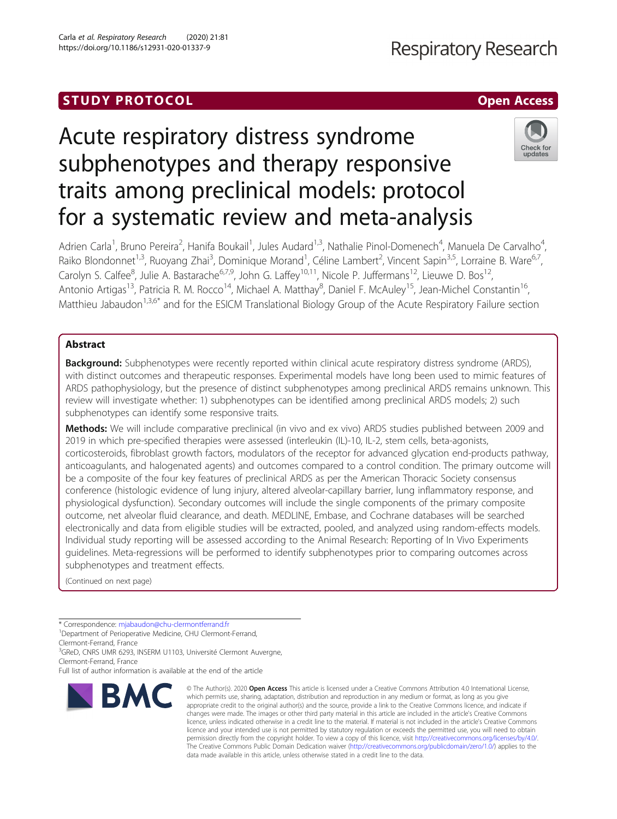Carla et al. Respiratory Research (2020) 21:81 https://doi.org/10.1186/s12931-020-01337-9

# **Respiratory Research**

# Acute respiratory distress syndrome subphenotypes and therapy responsive traits among preclinical models: protocol for a systematic review and meta-analysis



Adrien Carla<sup>1</sup>, Bruno Pereira<sup>2</sup>, Hanifa Boukail<sup>1</sup>, Jules Audard<sup>1,3</sup>, Nathalie Pinol-Domenech<sup>4</sup>, Manuela De Carvalho<sup>4</sup> , Raiko Blondonnet<sup>1,3</sup>, Ruoyang Zhai<sup>3</sup>, Dominique Morand<sup>1</sup>, Céline Lambert<sup>2</sup>, Vincent Sapin<sup>3,5</sup>, Lorraine B. Ware<sup>6,7</sup>, Carolyn S. Calfee<sup>8</sup>, Julie A. Bastarache<sup>6,7,9</sup>, John G. Laffey<sup>10,11</sup>, Nicole P. Juffermans<sup>12</sup>, Lieuwe D. Bos<sup>12</sup>, Antonio Artigas<sup>13</sup>, Patricia R. M. Rocco<sup>14</sup>, Michael A. Matthay<sup>8</sup>, Daniel F. McAuley<sup>15</sup>, Jean-Michel Constantin<sup>16</sup>, Matthieu Jabaudon<sup>1,3,6\*</sup> and for the ESICM Translational Biology Group of the Acute Respiratory Failure section

## Abstract

**Background:** Subphenotypes were recently reported within clinical acute respiratory distress syndrome (ARDS), with distinct outcomes and therapeutic responses. Experimental models have long been used to mimic features of ARDS pathophysiology, but the presence of distinct subphenotypes among preclinical ARDS remains unknown. This review will investigate whether: 1) subphenotypes can be identified among preclinical ARDS models; 2) such subphenotypes can identify some responsive traits.

Methods: We will include comparative preclinical (in vivo and ex vivo) ARDS studies published between 2009 and 2019 in which pre-specified therapies were assessed (interleukin (IL)-10, IL-2, stem cells, beta-agonists, corticosteroids, fibroblast growth factors, modulators of the receptor for advanced glycation end-products pathway, anticoagulants, and halogenated agents) and outcomes compared to a control condition. The primary outcome will be a composite of the four key features of preclinical ARDS as per the American Thoracic Society consensus conference (histologic evidence of lung injury, altered alveolar-capillary barrier, lung inflammatory response, and physiological dysfunction). Secondary outcomes will include the single components of the primary composite outcome, net alveolar fluid clearance, and death. MEDLINE, Embase, and Cochrane databases will be searched electronically and data from eligible studies will be extracted, pooled, and analyzed using random-effects models. Individual study reporting will be assessed according to the Animal Research: Reporting of In Vivo Experiments guidelines. Meta-regressions will be performed to identify subphenotypes prior to comparing outcomes across subphenotypes and treatment effects.

(Continued on next page)

\* Correspondence: [mjabaudon@chu-clermontferrand.fr](mailto:mjabaudon@chu-clermontferrand.fr) <sup>1</sup>

<sup>1</sup> Department of Perioperative Medicine, CHU Clermont-Ferrand,

Clermont-Ferrand, France

<sup>3</sup>GReD, CNRS UMR 6293, INSERM U1103, Université Clermont Auvergne, Clermont-Ferrand, France

Full list of author information is available at the end of the article



<sup>©</sup> The Author(s), 2020 **Open Access** This article is licensed under a Creative Commons Attribution 4.0 International License, which permits use, sharing, adaptation, distribution and reproduction in any medium or format, as long as you give appropriate credit to the original author(s) and the source, provide a link to the Creative Commons licence, and indicate if changes were made. The images or other third party material in this article are included in the article's Creative Commons licence, unless indicated otherwise in a credit line to the material. If material is not included in the article's Creative Commons licence and your intended use is not permitted by statutory regulation or exceeds the permitted use, you will need to obtain permission directly from the copyright holder. To view a copy of this licence, visit [http://creativecommons.org/licenses/by/4.0/.](http://creativecommons.org/licenses/by/4.0/) The Creative Commons Public Domain Dedication waiver [\(http://creativecommons.org/publicdomain/zero/1.0/](http://creativecommons.org/publicdomain/zero/1.0/)) applies to the data made available in this article, unless otherwise stated in a credit line to the data.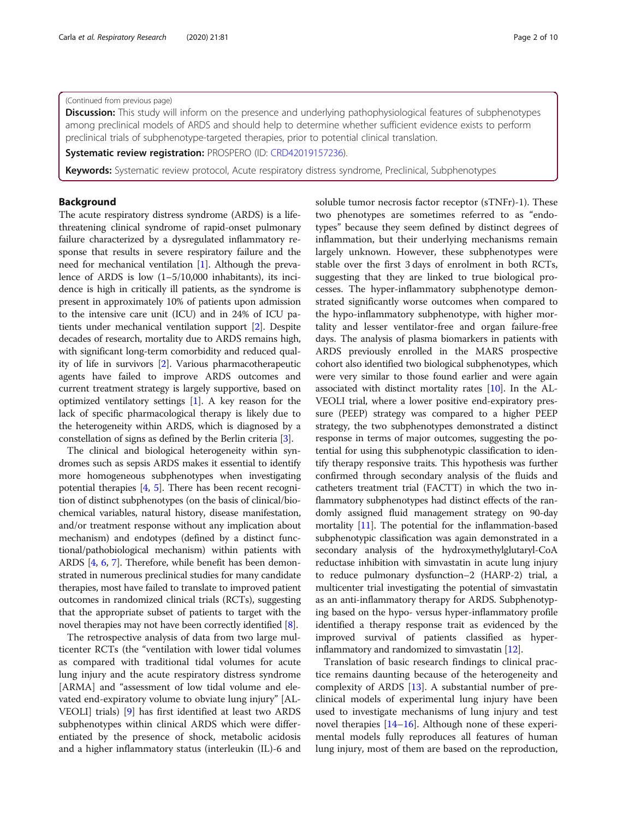#### (Continued from previous page)

**Discussion:** This study will inform on the presence and underlying pathophysiological features of subphenotypes among preclinical models of ARDS and should help to determine whether sufficient evidence exists to perform preclinical trials of subphenotype-targeted therapies, prior to potential clinical translation.

Systematic review registration: PROSPERO (ID: [CRD42019157236](https://www.crd.york.ac.uk/prospero/display_record.php?RecordID=157236)).

Keywords: Systematic review protocol, Acute respiratory distress syndrome, Preclinical, Subphenotypes

#### Background

The acute respiratory distress syndrome (ARDS) is a lifethreatening clinical syndrome of rapid-onset pulmonary failure characterized by a dysregulated inflammatory response that results in severe respiratory failure and the need for mechanical ventilation [\[1](#page-7-0)]. Although the prevalence of ARDS is low (1–5/10,000 inhabitants), its incidence is high in critically ill patients, as the syndrome is present in approximately 10% of patients upon admission to the intensive care unit (ICU) and in 24% of ICU patients under mechanical ventilation support [\[2\]](#page-7-0). Despite decades of research, mortality due to ARDS remains high, with significant long-term comorbidity and reduced quality of life in survivors [[2](#page-7-0)]. Various pharmacotherapeutic agents have failed to improve ARDS outcomes and current treatment strategy is largely supportive, based on optimized ventilatory settings [\[1](#page-7-0)]. A key reason for the lack of specific pharmacological therapy is likely due to the heterogeneity within ARDS, which is diagnosed by a constellation of signs as defined by the Berlin criteria [\[3](#page-7-0)].

The clinical and biological heterogeneity within syndromes such as sepsis ARDS makes it essential to identify more homogeneous subphenotypes when investigating potential therapies [\[4,](#page-7-0) [5](#page-7-0)]. There has been recent recognition of distinct subphenotypes (on the basis of clinical/biochemical variables, natural history, disease manifestation, and/or treatment response without any implication about mechanism) and endotypes (defined by a distinct functional/pathobiological mechanism) within patients with ARDS [[4,](#page-7-0) [6,](#page-7-0) [7\]](#page-8-0). Therefore, while benefit has been demonstrated in numerous preclinical studies for many candidate therapies, most have failed to translate to improved patient outcomes in randomized clinical trials (RCTs), suggesting that the appropriate subset of patients to target with the novel therapies may not have been correctly identified [[8\]](#page-8-0).

The retrospective analysis of data from two large multicenter RCTs (the "ventilation with lower tidal volumes as compared with traditional tidal volumes for acute lung injury and the acute respiratory distress syndrome [ARMA] and "assessment of low tidal volume and elevated end-expiratory volume to obviate lung injury" [AL-VEOLI] trials) [[9](#page-8-0)] has first identified at least two ARDS subphenotypes within clinical ARDS which were differentiated by the presence of shock, metabolic acidosis and a higher inflammatory status (interleukin (IL)-6 and soluble tumor necrosis factor receptor (sTNFr)-1). These two phenotypes are sometimes referred to as "endotypes" because they seem defined by distinct degrees of inflammation, but their underlying mechanisms remain largely unknown. However, these subphenotypes were stable over the first 3 days of enrolment in both RCTs, suggesting that they are linked to true biological processes. The hyper-inflammatory subphenotype demonstrated significantly worse outcomes when compared to the hypo-inflammatory subphenotype, with higher mortality and lesser ventilator-free and organ failure-free days. The analysis of plasma biomarkers in patients with ARDS previously enrolled in the MARS prospective cohort also identified two biological subphenotypes, which were very similar to those found earlier and were again associated with distinct mortality rates [\[10\]](#page-8-0). In the AL-VEOLI trial, where a lower positive end-expiratory pressure (PEEP) strategy was compared to a higher PEEP strategy, the two subphenotypes demonstrated a distinct response in terms of major outcomes, suggesting the potential for using this subphenotypic classification to identify therapy responsive traits. This hypothesis was further confirmed through secondary analysis of the fluids and catheters treatment trial (FACTT) in which the two inflammatory subphenotypes had distinct effects of the randomly assigned fluid management strategy on 90-day mortality [\[11\]](#page-8-0). The potential for the inflammation-based subphenotypic classification was again demonstrated in a secondary analysis of the hydroxymethylglutaryl-CoA reductase inhibition with simvastatin in acute lung injury to reduce pulmonary dysfunction–2 (HARP-2) trial, a multicenter trial investigating the potential of simvastatin as an anti-inflammatory therapy for ARDS. Subphenotyping based on the hypo- versus hyper-inflammatory profile identified a therapy response trait as evidenced by the improved survival of patients classified as hyperinflammatory and randomized to simvastatin [\[12\]](#page-8-0).

Translation of basic research findings to clinical practice remains daunting because of the heterogeneity and complexity of ARDS [\[13\]](#page-8-0). A substantial number of preclinical models of experimental lung injury have been used to investigate mechanisms of lung injury and test novel therapies [[14](#page-8-0)–[16](#page-8-0)]. Although none of these experimental models fully reproduces all features of human lung injury, most of them are based on the reproduction,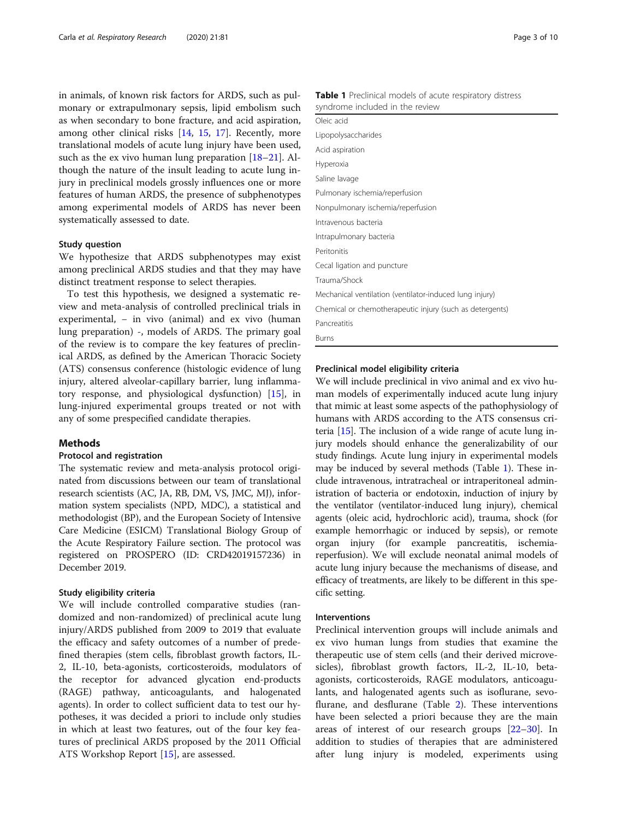<span id="page-2-0"></span>in animals, of known risk factors for ARDS, such as pulmonary or extrapulmonary sepsis, lipid embolism such as when secondary to bone fracture, and acid aspiration, among other clinical risks [\[14,](#page-8-0) [15](#page-8-0), [17\]](#page-8-0). Recently, more translational models of acute lung injury have been used, such as the ex vivo human lung preparation [[18](#page-8-0)–[21](#page-8-0)]. Although the nature of the insult leading to acute lung injury in preclinical models grossly influences one or more features of human ARDS, the presence of subphenotypes among experimental models of ARDS has never been systematically assessed to date.

#### Study question

We hypothesize that ARDS subphenotypes may exist among preclinical ARDS studies and that they may have distinct treatment response to select therapies.

To test this hypothesis, we designed a systematic review and meta-analysis of controlled preclinical trials in experimental, – in vivo (animal) and ex vivo (human lung preparation) -, models of ARDS. The primary goal of the review is to compare the key features of preclinical ARDS, as defined by the American Thoracic Society (ATS) consensus conference (histologic evidence of lung injury, altered alveolar-capillary barrier, lung inflammatory response, and physiological dysfunction) [[15](#page-8-0)], in lung-injured experimental groups treated or not with any of some prespecified candidate therapies.

#### **Methods**

#### Protocol and registration

The systematic review and meta-analysis protocol originated from discussions between our team of translational research scientists (AC, JA, RB, DM, VS, JMC, MJ), information system specialists (NPD, MDC), a statistical and methodologist (BP), and the European Society of Intensive Care Medicine (ESICM) Translational Biology Group of the Acute Respiratory Failure section. The protocol was registered on PROSPERO (ID: CRD42019157236) in December 2019.

#### Study eligibility criteria

We will include controlled comparative studies (randomized and non-randomized) of preclinical acute lung injury/ARDS published from 2009 to 2019 that evaluate the efficacy and safety outcomes of a number of predefined therapies (stem cells, fibroblast growth factors, IL-2, IL-10, beta-agonists, corticosteroids, modulators of the receptor for advanced glycation end-products (RAGE) pathway, anticoagulants, and halogenated agents). In order to collect sufficient data to test our hypotheses, it was decided a priori to include only studies in which at least two features, out of the four key features of preclinical ARDS proposed by the 2011 Official ATS Workshop Report [[15\]](#page-8-0), are assessed.

|                                 |  | <b>Table 1</b> Preclinical models of acute respiratory distress |  |
|---------------------------------|--|-----------------------------------------------------------------|--|
| syndrome included in the review |  |                                                                 |  |

| Oleic acid                                               |  |  |
|----------------------------------------------------------|--|--|
| Lipopolysaccharides                                      |  |  |
| Acid aspiration                                          |  |  |
| Hyperoxia                                                |  |  |
| Saline lavage                                            |  |  |
| Pulmonary ischemia/reperfusion                           |  |  |
| Nonpulmonary ischemia/reperfusion                        |  |  |
| Intravenous bacteria                                     |  |  |
| Intrapulmonary bacteria                                  |  |  |
| Peritonitis                                              |  |  |
| Cecal ligation and puncture                              |  |  |
| Trauma/Shock                                             |  |  |
| Mechanical ventilation (ventilator-induced lung injury)  |  |  |
| Chemical or chemotherapeutic injury (such as detergents) |  |  |
| Pancreatitis                                             |  |  |
| Burns                                                    |  |  |
|                                                          |  |  |

#### Preclinical model eligibility criteria

We will include preclinical in vivo animal and ex vivo human models of experimentally induced acute lung injury that mimic at least some aspects of the pathophysiology of humans with ARDS according to the ATS consensus criteria [[15](#page-8-0)]. The inclusion of a wide range of acute lung injury models should enhance the generalizability of our study findings. Acute lung injury in experimental models may be induced by several methods (Table 1). These include intravenous, intratracheal or intraperitoneal administration of bacteria or endotoxin, induction of injury by the ventilator (ventilator-induced lung injury), chemical agents (oleic acid, hydrochloric acid), trauma, shock (for example hemorrhagic or induced by sepsis), or remote organ injury (for example pancreatitis, ischemiareperfusion). We will exclude neonatal animal models of acute lung injury because the mechanisms of disease, and efficacy of treatments, are likely to be different in this specific setting.

### Interventions

Preclinical intervention groups will include animals and ex vivo human lungs from studies that examine the therapeutic use of stem cells (and their derived microvesicles), fibroblast growth factors, IL-2, IL-10, betaagonists, corticosteroids, RAGE modulators, anticoagulants, and halogenated agents such as isoflurane, sevoflurane, and desflurane (Table [2\)](#page-3-0). These interventions have been selected a priori because they are the main areas of interest of our research groups [[22](#page-8-0)–[30\]](#page-8-0). In addition to studies of therapies that are administered after lung injury is modeled, experiments using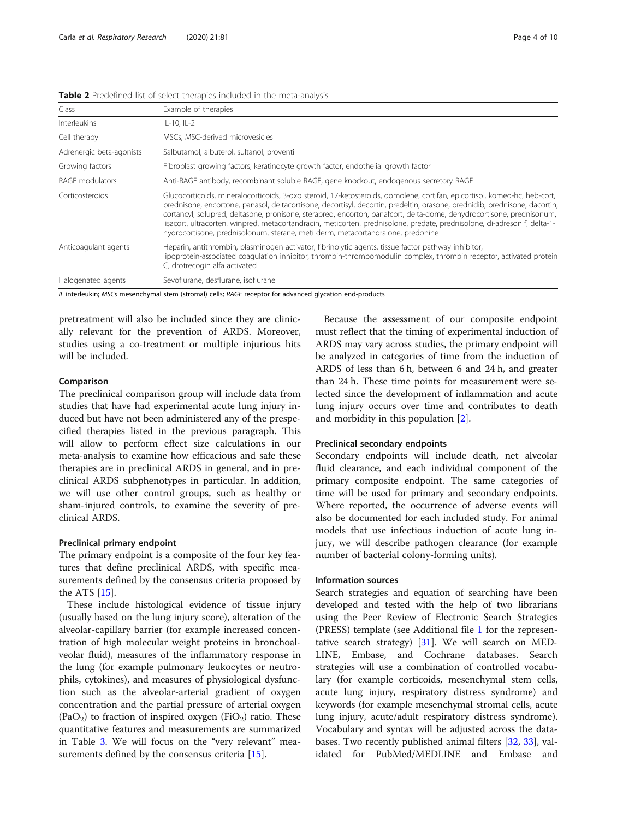| Example of therapies                                                                                                                                                                                                                                                                                                                                                                                                                                                                                                                                                                             |  |
|--------------------------------------------------------------------------------------------------------------------------------------------------------------------------------------------------------------------------------------------------------------------------------------------------------------------------------------------------------------------------------------------------------------------------------------------------------------------------------------------------------------------------------------------------------------------------------------------------|--|
| IL-10, IL-2                                                                                                                                                                                                                                                                                                                                                                                                                                                                                                                                                                                      |  |
| MSCs, MSC-derived microvesicles                                                                                                                                                                                                                                                                                                                                                                                                                                                                                                                                                                  |  |
| Salbutamol, albuterol, sultanol, proventil                                                                                                                                                                                                                                                                                                                                                                                                                                                                                                                                                       |  |
| Fibroblast growing factors, keratinocyte growth factor, endothelial growth factor                                                                                                                                                                                                                                                                                                                                                                                                                                                                                                                |  |
| Anti-RAGE antibody, recombinant soluble RAGE, gene knockout, endogenous secretory RAGE                                                                                                                                                                                                                                                                                                                                                                                                                                                                                                           |  |
| Glucocorticoids, mineralocorticoids, 3-oxo steroid, 17-ketosteroids, domolene, cortifan, epicortisol, komed-hc, heb-cort,<br>prednisone, encortone, panasol, deltacortisone, decortisyl, decortin, predeltin, orasone, prednidib, prednisone, dacortin,<br>cortancyl, solupred, deltasone, pronisone, sterapred, encorton, panafcort, delta-dome, dehydrocortisone, prednisonum,<br>lisacort, ultracorten, winpred, metacortandracin, meticorten, prednisolone, predate, prednisolone, di-adreson f, delta-1-<br>hydrocortisone, prednisolonum, sterane, meti derm, metacortandralone, predonine |  |
| Heparin, antithrombin, plasminogen activator, fibrinolytic agents, tissue factor pathway inhibitor,<br>lipoprotein-associated coaqulation inhibitor, thrombin-thrombomodulin complex, thrombin receptor, activated protein<br>C, drotrecogin alfa activated                                                                                                                                                                                                                                                                                                                                      |  |
| Sevoflurane, desflurane, isoflurane                                                                                                                                                                                                                                                                                                                                                                                                                                                                                                                                                              |  |
|                                                                                                                                                                                                                                                                                                                                                                                                                                                                                                                                                                                                  |  |

<span id="page-3-0"></span>Table 2 Predefined list of select therapies included in the meta-analysis

IL interleukin; MSCs mesenchymal stem (stromal) cells; RAGE receptor for advanced glycation end-products

pretreatment will also be included since they are clinically relevant for the prevention of ARDS. Moreover, studies using a co-treatment or multiple injurious hits will be included.

#### Comparison

The preclinical comparison group will include data from studies that have had experimental acute lung injury induced but have not been administered any of the prespecified therapies listed in the previous paragraph. This will allow to perform effect size calculations in our meta-analysis to examine how efficacious and safe these therapies are in preclinical ARDS in general, and in preclinical ARDS subphenotypes in particular. In addition, we will use other control groups, such as healthy or sham-injured controls, to examine the severity of preclinical ARDS.

#### Preclinical primary endpoint

The primary endpoint is a composite of the four key features that define preclinical ARDS, with specific measurements defined by the consensus criteria proposed by the ATS [\[15\]](#page-8-0).

These include histological evidence of tissue injury (usually based on the lung injury score), alteration of the alveolar-capillary barrier (for example increased concentration of high molecular weight proteins in bronchoalveolar fluid), measures of the inflammatory response in the lung (for example pulmonary leukocytes or neutrophils, cytokines), and measures of physiological dysfunction such as the alveolar-arterial gradient of oxygen concentration and the partial pressure of arterial oxygen  $(PaO<sub>2</sub>)$  to fraction of inspired oxygen  $(FiO<sub>2</sub>)$  ratio. These quantitative features and measurements are summarized in Table [3.](#page-4-0) We will focus on the "very relevant" mea-surements defined by the consensus criteria [\[15](#page-8-0)].

Because the assessment of our composite endpoint must reflect that the timing of experimental induction of ARDS may vary across studies, the primary endpoint will be analyzed in categories of time from the induction of ARDS of less than 6 h, between 6 and 24 h, and greater than 24 h. These time points for measurement were selected since the development of inflammation and acute lung injury occurs over time and contributes to death and morbidity in this population [\[2](#page-7-0)].

#### Preclinical secondary endpoints

Secondary endpoints will include death, net alveolar fluid clearance, and each individual component of the primary composite endpoint. The same categories of time will be used for primary and secondary endpoints. Where reported, the occurrence of adverse events will also be documented for each included study. For animal models that use infectious induction of acute lung injury, we will describe pathogen clearance (for example number of bacterial colony-forming units).

#### Information sources

Search strategies and equation of searching have been developed and tested with the help of two librarians using the Peer Review of Electronic Search Strategies (PRESS) template (see Additional file [1](#page-7-0) for the representative search strategy) [[31](#page-8-0)]. We will search on MED-LINE, Embase, and Cochrane databases. Search strategies will use a combination of controlled vocabulary (for example corticoids, mesenchymal stem cells, acute lung injury, respiratory distress syndrome) and keywords (for example mesenchymal stromal cells, acute lung injury, acute/adult respiratory distress syndrome). Vocabulary and syntax will be adjusted across the databases. Two recently published animal filters [\[32](#page-8-0), [33](#page-8-0)], validated for PubMed/MEDLINE and Embase and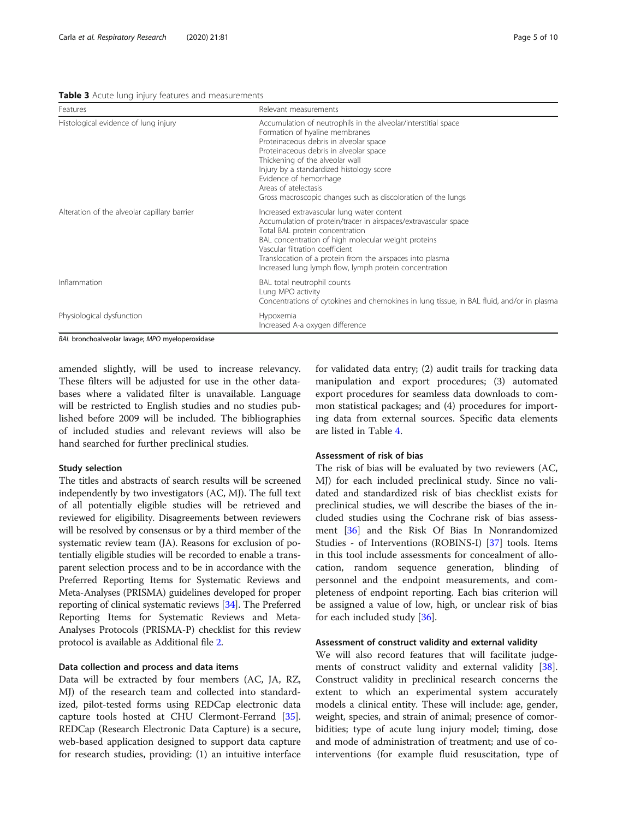<span id="page-4-0"></span>Table 3 Acute lung injury features and measurements

| Features                                     | Relevant measurements                                                                                                                                                                                                                                                                                                                                                                 |
|----------------------------------------------|---------------------------------------------------------------------------------------------------------------------------------------------------------------------------------------------------------------------------------------------------------------------------------------------------------------------------------------------------------------------------------------|
| Histological evidence of lung injury         | Accumulation of neutrophils in the alveolar/interstitial space<br>Formation of hyaline membranes<br>Proteinaceous debris in alveolar space<br>Proteinaceous debris in alveolar space<br>Thickening of the alveolar wall<br>Injury by a standardized histology score<br>Evidence of hemorrhage<br>Areas of atelectasis<br>Gross macroscopic changes such as discoloration of the lungs |
| Alteration of the alveolar capillary barrier | Increased extravascular lung water content<br>Accumulation of protein/tracer in airspaces/extravascular space<br>Total BAL protein concentration<br>BAL concentration of high molecular weight proteins<br>Vascular filtration coefficient<br>Translocation of a protein from the airspaces into plasma<br>Increased lung lymph flow, lymph protein concentration                     |
| Inflammation                                 | BAL total neutrophil counts<br>Lung MPO activity<br>Concentrations of cytokines and chemokines in lung tissue, in BAL fluid, and/or in plasma                                                                                                                                                                                                                                         |
| Physiological dysfunction                    | Hypoxemia<br>Increased A-a oxygen difference                                                                                                                                                                                                                                                                                                                                          |

BAL bronchoalveolar lavage; MPO myeloperoxidase

amended slightly, will be used to increase relevancy. These filters will be adjusted for use in the other databases where a validated filter is unavailable. Language will be restricted to English studies and no studies published before 2009 will be included. The bibliographies of included studies and relevant reviews will also be hand searched for further preclinical studies.

#### Study selection

The titles and abstracts of search results will be screened independently by two investigators (AC, MJ). The full text of all potentially eligible studies will be retrieved and reviewed for eligibility. Disagreements between reviewers will be resolved by consensus or by a third member of the systematic review team (JA). Reasons for exclusion of potentially eligible studies will be recorded to enable a transparent selection process and to be in accordance with the Preferred Reporting Items for Systematic Reviews and Meta-Analyses (PRISMA) guidelines developed for proper reporting of clinical systematic reviews [\[34\]](#page-8-0). The Preferred Reporting Items for Systematic Reviews and Meta-Analyses Protocols (PRISMA-P) checklist for this review protocol is available as Additional file [2.](#page-7-0)

#### Data collection and process and data items

Data will be extracted by four members (AC, JA, RZ, MJ) of the research team and collected into standardized, pilot-tested forms using REDCap electronic data capture tools hosted at CHU Clermont-Ferrand [\[35](#page-8-0)]. REDCap (Research Electronic Data Capture) is a secure, web-based application designed to support data capture for research studies, providing: (1) an intuitive interface for validated data entry; (2) audit trails for tracking data manipulation and export procedures; (3) automated export procedures for seamless data downloads to common statistical packages; and (4) procedures for importing data from external sources. Specific data elements are listed in Table [4.](#page-5-0)

#### Assessment of risk of bias

The risk of bias will be evaluated by two reviewers (AC, MJ) for each included preclinical study. Since no validated and standardized risk of bias checklist exists for preclinical studies, we will describe the biases of the included studies using the Cochrane risk of bias assessment [\[36](#page-8-0)] and the Risk Of Bias In Nonrandomized Studies - of Interventions (ROBINS-I) [[37](#page-8-0)] tools. Items in this tool include assessments for concealment of allocation, random sequence generation, blinding of personnel and the endpoint measurements, and completeness of endpoint reporting. Each bias criterion will be assigned a value of low, high, or unclear risk of bias for each included study [[36\]](#page-8-0).

#### Assessment of construct validity and external validity

We will also record features that will facilitate judgements of construct validity and external validity [\[38](#page-8-0)]. Construct validity in preclinical research concerns the extent to which an experimental system accurately models a clinical entity. These will include: age, gender, weight, species, and strain of animal; presence of comorbidities; type of acute lung injury model; timing, dose and mode of administration of treatment; and use of cointerventions (for example fluid resuscitation, type of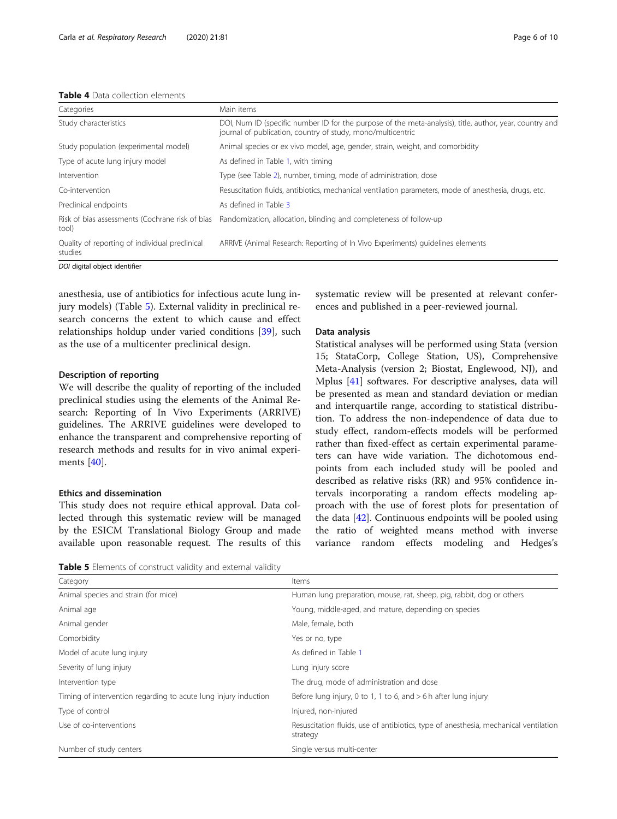#### <span id="page-5-0"></span>Table 4 Data collection elements

| Categories                                                | Main items                                                                                                                                                             |  |
|-----------------------------------------------------------|------------------------------------------------------------------------------------------------------------------------------------------------------------------------|--|
| Study characteristics                                     | DOI, Num ID (specific number ID for the purpose of the meta-analysis), title, author, year, country and<br>journal of publication, country of study, mono/multicentric |  |
| Study population (experimental model)                     | Animal species or ex vivo model, age, gender, strain, weight, and comorbidity                                                                                          |  |
| Type of acute lung injury model                           | As defined in Table 1, with timing                                                                                                                                     |  |
| Intervention                                              | Type (see Table 2), number, timing, mode of administration, dose                                                                                                       |  |
| Co-intervention                                           | Resuscitation fluids, antibiotics, mechanical ventilation parameters, mode of anesthesia, drugs, etc.                                                                  |  |
| Preclinical endpoints                                     | As defined in Table 3                                                                                                                                                  |  |
| Risk of bias assessments (Cochrane risk of bias<br>tool)  | Randomization, allocation, blinding and completeness of follow-up                                                                                                      |  |
| Quality of reporting of individual preclinical<br>studies | ARRIVE (Animal Research: Reporting of In Vivo Experiments) quidelines elements                                                                                         |  |
| DOI digital object identifier                             |                                                                                                                                                                        |  |

anesthesia, use of antibiotics for infectious acute lung injury models) (Table 5). External validity in preclinical research concerns the extent to which cause and effect relationships holdup under varied conditions [[39](#page-8-0)], such as the use of a multicenter preclinical design.

#### Description of reporting

We will describe the quality of reporting of the included preclinical studies using the elements of the Animal Research: Reporting of In Vivo Experiments (ARRIVE) guidelines. The ARRIVE guidelines were developed to enhance the transparent and comprehensive reporting of research methods and results for in vivo animal experiments [[40\]](#page-8-0).

### Ethics and dissemination

This study does not require ethical approval. Data collected through this systematic review will be managed by the ESICM Translational Biology Group and made available upon reasonable request. The results of this

systematic review will be presented at relevant conferences and published in a peer-reviewed journal.

#### Data analysis

Statistical analyses will be performed using Stata (version 15; StataCorp, College Station, US), Comprehensive Meta-Analysis (version 2; Biostat, Englewood, NJ), and Mplus [[41\]](#page-8-0) softwares. For descriptive analyses, data will be presented as mean and standard deviation or median and interquartile range, according to statistical distribution. To address the non-independence of data due to study effect, random-effects models will be performed rather than fixed-effect as certain experimental parameters can have wide variation. The dichotomous endpoints from each included study will be pooled and described as relative risks (RR) and 95% confidence intervals incorporating a random effects modeling approach with the use of forest plots for presentation of the data [[42\]](#page-8-0). Continuous endpoints will be pooled using the ratio of weighted means method with inverse variance random effects modeling and Hedges's

Table 5 Elements of construct validity and external validity

| Category                                                        | Items                                                                                            |  |
|-----------------------------------------------------------------|--------------------------------------------------------------------------------------------------|--|
| Animal species and strain (for mice)                            | Human lung preparation, mouse, rat, sheep, pig, rabbit, dog or others                            |  |
| Animal age                                                      | Young, middle-aged, and mature, depending on species                                             |  |
| Animal gender                                                   | Male, female, both                                                                               |  |
| Comorbidity                                                     | Yes or no, type                                                                                  |  |
| Model of acute lung injury                                      | As defined in Table 1                                                                            |  |
| Severity of lung injury                                         | Lung injury score                                                                                |  |
| Intervention type                                               | The drug, mode of administration and dose                                                        |  |
| Timing of intervention regarding to acute lung injury induction | Before lung injury, 0 to 1, 1 to 6, and $> 6$ h after lung injury                                |  |
| Type of control                                                 | Injured, non-injured                                                                             |  |
| Use of co-interventions                                         | Resuscitation fluids, use of antibiotics, type of anesthesia, mechanical ventilation<br>strategy |  |
| Number of study centers                                         | Single versus multi-center                                                                       |  |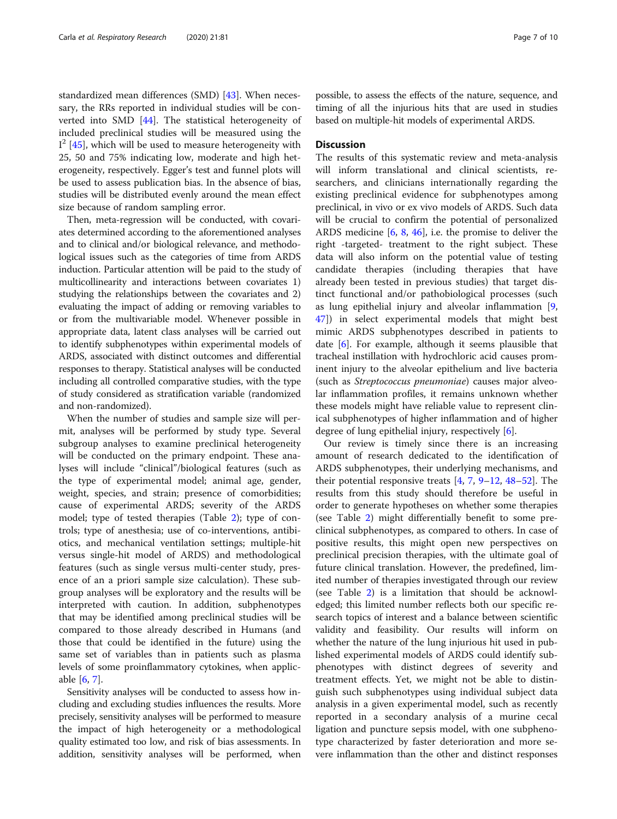standardized mean differences (SMD) [\[43\]](#page-8-0). When necessary, the RRs reported in individual studies will be converted into SMD [[44\]](#page-8-0). The statistical heterogeneity of included preclinical studies will be measured using the  $I^2$  [[45\]](#page-8-0), which will be used to measure heterogeneity with 25, 50 and 75% indicating low, moderate and high heterogeneity, respectively. Egger's test and funnel plots will be used to assess publication bias. In the absence of bias, studies will be distributed evenly around the mean effect size because of random sampling error.

Then, meta-regression will be conducted, with covariates determined according to the aforementioned analyses and to clinical and/or biological relevance, and methodological issues such as the categories of time from ARDS induction. Particular attention will be paid to the study of multicollinearity and interactions between covariates 1) studying the relationships between the covariates and 2) evaluating the impact of adding or removing variables to or from the multivariable model. Whenever possible in appropriate data, latent class analyses will be carried out to identify subphenotypes within experimental models of ARDS, associated with distinct outcomes and differential responses to therapy. Statistical analyses will be conducted including all controlled comparative studies, with the type of study considered as stratification variable (randomized and non-randomized).

When the number of studies and sample size will permit, analyses will be performed by study type. Several subgroup analyses to examine preclinical heterogeneity will be conducted on the primary endpoint. These analyses will include "clinical"/biological features (such as the type of experimental model; animal age, gender, weight, species, and strain; presence of comorbidities; cause of experimental ARDS; severity of the ARDS model; type of tested therapies (Table [2](#page-3-0)); type of controls; type of anesthesia; use of co-interventions, antibiotics, and mechanical ventilation settings; multiple-hit versus single-hit model of ARDS) and methodological features (such as single versus multi-center study, presence of an a priori sample size calculation). These subgroup analyses will be exploratory and the results will be interpreted with caution. In addition, subphenotypes that may be identified among preclinical studies will be compared to those already described in Humans (and those that could be identified in the future) using the same set of variables than in patients such as plasma levels of some proinflammatory cytokines, when applicable [\[6](#page-7-0), [7](#page-8-0)].

Sensitivity analyses will be conducted to assess how including and excluding studies influences the results. More precisely, sensitivity analyses will be performed to measure the impact of high heterogeneity or a methodological quality estimated too low, and risk of bias assessments. In addition, sensitivity analyses will be performed, when

possible, to assess the effects of the nature, sequence, and timing of all the injurious hits that are used in studies based on multiple-hit models of experimental ARDS.

#### **Discussion**

The results of this systematic review and meta-analysis will inform translational and clinical scientists, researchers, and clinicians internationally regarding the existing preclinical evidence for subphenotypes among preclinical, in vivo or ex vivo models of ARDS. Such data will be crucial to confirm the potential of personalized ARDS medicine [[6,](#page-7-0) [8](#page-8-0), [46\]](#page-8-0), i.e. the promise to deliver the right -targeted- treatment to the right subject. These data will also inform on the potential value of testing candidate therapies (including therapies that have already been tested in previous studies) that target distinct functional and/or pathobiological processes (such as lung epithelial injury and alveolar inflammation [\[9](#page-8-0), [47\]](#page-8-0)) in select experimental models that might best mimic ARDS subphenotypes described in patients to date [\[6](#page-7-0)]. For example, although it seems plausible that tracheal instillation with hydrochloric acid causes prominent injury to the alveolar epithelium and live bacteria (such as Streptococcus pneumoniae) causes major alveolar inflammation profiles, it remains unknown whether these models might have reliable value to represent clinical subphenotypes of higher inflammation and of higher degree of lung epithelial injury, respectively [[6\]](#page-7-0).

Our review is timely since there is an increasing amount of research dedicated to the identification of ARDS subphenotypes, their underlying mechanisms, and their potential responsive treats  $[4, 7, 9-12, 48-52]$  $[4, 7, 9-12, 48-52]$  $[4, 7, 9-12, 48-52]$  $[4, 7, 9-12, 48-52]$  $[4, 7, 9-12, 48-52]$  $[4, 7, 9-12, 48-52]$  $[4, 7, 9-12, 48-52]$  $[4, 7, 9-12, 48-52]$  $[4, 7, 9-12, 48-52]$  $[4, 7, 9-12, 48-52]$  $[4, 7, 9-12, 48-52]$ . The results from this study should therefore be useful in order to generate hypotheses on whether some therapies (see Table [2\)](#page-3-0) might differentially benefit to some preclinical subphenotypes, as compared to others. In case of positive results, this might open new perspectives on preclinical precision therapies, with the ultimate goal of future clinical translation. However, the predefined, limited number of therapies investigated through our review (see Table [2\)](#page-3-0) is a limitation that should be acknowledged; this limited number reflects both our specific research topics of interest and a balance between scientific validity and feasibility. Our results will inform on whether the nature of the lung injurious hit used in published experimental models of ARDS could identify subphenotypes with distinct degrees of severity and treatment effects. Yet, we might not be able to distinguish such subphenotypes using individual subject data analysis in a given experimental model, such as recently reported in a secondary analysis of a murine cecal ligation and puncture sepsis model, with one subphenotype characterized by faster deterioration and more severe inflammation than the other and distinct responses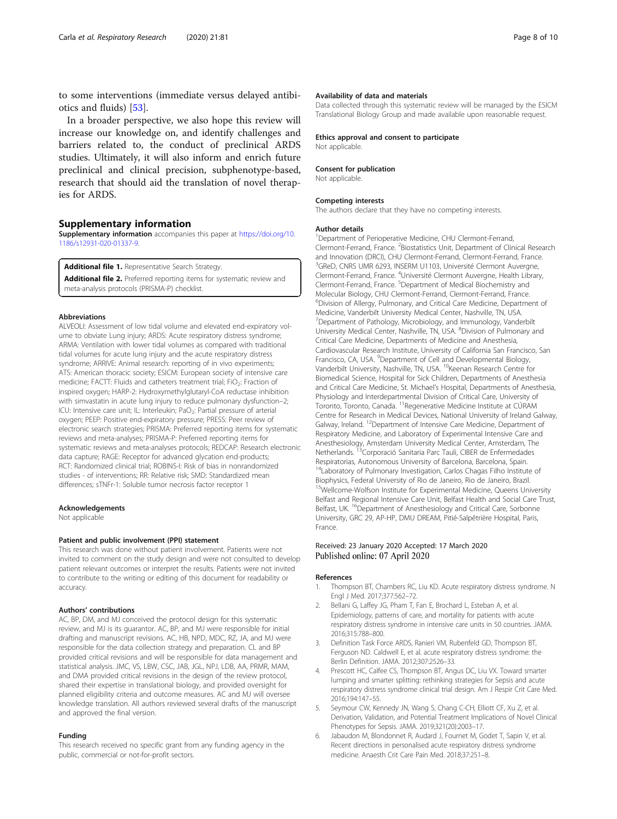<span id="page-7-0"></span>to some interventions (immediate versus delayed antibiotics and fluids) [\[53\]](#page-9-0).

In a broader perspective, we also hope this review will increase our knowledge on, and identify challenges and barriers related to, the conduct of preclinical ARDS studies. Ultimately, it will also inform and enrich future preclinical and clinical precision, subphenotype-based, research that should aid the translation of novel therapies for ARDS.

#### Supplementary information

Supplementary information accompanies this paper at [https://doi.org/10.](https://doi.org/10.1186/s12931-020-01337-9) [1186/s12931-020-01337-9](https://doi.org/10.1186/s12931-020-01337-9).

#### Additional file 1. Representative Search Strategy.

Additional file 2. Preferred reporting items for systematic review and meta-analysis protocols (PRISMA-P) checklist.

#### Abbreviations

ALVEOLI: Assessment of low tidal volume and elevated end-expiratory volume to obviate Lung injury; ARDS: Acute respiratory distress syndrome; ARMA: Ventilation with lower tidal volumes as compared with traditional tidal volumes for acute lung injury and the acute respiratory distress syndrome; ARRIVE: Animal research: reporting of in vivo experiments; ATS: American thoracic society; ESICM: European society of intensive care medicine; FACTT: Fluids and catheters treatment trial; FiO<sub>2</sub>: Fraction of inspired oxygen; HARP-2: Hydroxymethylglutaryl-CoA reductase inhibition with simvastatin in acute lung injury to reduce pulmonary dysfunction–2; ICU: Intensive care unit; IL: Interleukin; PaO<sub>2</sub>: Partial pressure of arterial oxygen; PEEP: Positive end-expiratory pressure; PRESS: Peer review of electronic search strategies; PRISMA: Preferred reporting items for systematic reviews and meta-analyses; PRISMA-P: Preferred reporting items for systematic reviews and meta-analyses protocols; REDCAP: Research electronic data capture; RAGE: Receptor for advanced glycation end-products; RCT: Randomized clinical trial; ROBINS-I: Risk of bias in nonrandomized studies - of interventions; RR: Relative risk; SMD: Standardized mean differences; sTNFr-1: Soluble tumor necrosis factor receptor 1

#### Acknowledgements

Not applicable

#### Patient and public involvement (PPI) statement

This research was done without patient involvement. Patients were not invited to comment on the study design and were not consulted to develop patient relevant outcomes or interpret the results. Patients were not invited to contribute to the writing or editing of this document for readability or accuracy.

#### Authors' contributions

AC, BP, DM, and MJ conceived the protocol design for this systematic review, and MJ is its guarantor. AC, BP, and MJ were responsible for initial drafting and manuscript revisions. AC, HB, NPD, MDC, RZ, JA, and MJ were responsible for the data collection strategy and preparation. CL and BP provided critical revisions and will be responsible for data management and statistical analysis. JMC, VS, LBW, CSC, JAB, JGL, NPJ, LDB, AA, PRMR, MAM, and DMA provided critical revisions in the design of the review protocol, shared their expertise in translational biology, and provided oversight for planned eligibility criteria and outcome measures. AC and MJ will oversee knowledge translation. All authors reviewed several drafts of the manuscript and approved the final version.

#### Funding

This research received no specific grant from any funding agency in the public, commercial or not-for-profit sectors.

#### Availability of data and materials

Data collected through this systematic review will be managed by the ESICM Translational Biology Group and made available upon reasonable request.

#### Ethics approval and consent to participate Not applicable.

# Consent for publication

Not applicable.

#### Competing interests

The authors declare that they have no competing interests.

#### Author details

<sup>1</sup>Department of Perioperative Medicine, CHU Clermont-Ferrand Clermont-Ferrand, France. <sup>2</sup> Biostatistics Unit, Department of Clinical Research and Innovation (DRCI), CHU Clermont-Ferrand, Clermont-Ferrand, France. 3 GReD, CNRS UMR 6293, INSERM U1103, Université Clermont Auvergne, Clermont-Ferrand, France. <sup>4</sup>Université Clermont Auvergne, Health Library, Clermont-Ferrand, France. <sup>5</sup>Department of Medical Biochemistry and Molecular Biology, CHU Clermont-Ferrand, Clermont-Ferrand, France. 6 Division of Allergy, Pulmonary, and Critical Care Medicine, Department of Medicine, Vanderbilt University Medical Center, Nashville, TN, USA. 7 Department of Pathology, Microbiology, and Immunology, Vanderbilt University Medical Center, Nashville, TN, USA. <sup>8</sup>Division of Pulmonary and Critical Care Medicine, Departments of Medicine and Anesthesia, Cardiovascular Research Institute, University of California San Francisco, San Francisco, CA, USA. <sup>9</sup>Department of Cell and Developmental Biology, Vanderbilt University, Nashville, TN, USA. <sup>10</sup>Keenan Research Centre for Biomedical Science, Hospital for Sick Children, Departments of Anesthesia and Critical Care Medicine, St. Michael's Hospital, Departments of Anesthesia, Physiology and Interdepartmental Division of Critical Care, University of Toronto, Toronto, Canada. 11Regenerative Medicine Institute at CÚRAM Centre for Research in Medical Devices, National University of Ireland Galway, Galway, Ireland. 12Department of Intensive Care Medicine, Department of Respiratory Medicine, and Laboratory of Experimental Intensive Care and Anesthesiology, Amsterdam University Medical Center, Amsterdam, The Netherlands. 13Corporació Sanitaria Parc Tauli, CIBER de Enfermedades Respiratorias, Autonomous University of Barcelona, Barcelona, Spain. <sup>14</sup>Laboratory of Pulmonary Investigation, Carlos Chagas Filho Institute of Biophysics, Federal University of Rio de Janeiro, Rio de Janeiro, Brazil. <sup>15</sup>Wellcome-Wolfson Institute for Experimental Medicine, Queens University Belfast and Regional Intensive Care Unit, Belfast Health and Social Care Trust, Belfast, UK.<sup>16</sup>Department of Anesthesiology and Critical Care, Sorbonne University, GRC 29, AP-HP, DMU DREAM, Pitié-Salpêtrière Hospital, Paris, France.

#### Received: 23 January 2020 Accepted: 17 March 2020 Published online: 07 April 2020

#### References

- Thompson BT, Chambers RC, Liu KD. Acute respiratory distress syndrome. N Engl J Med. 2017;377:562–72.
- Bellani G, Laffey JG, Pham T, Fan E, Brochard L, Esteban A, et al. Epidemiology, patterns of care, and mortality for patients with acute respiratory distress syndrome in intensive care units in 50 countries. JAMA. 2016;315:788–800.
- 3. Definition Task Force ARDS, Ranieri VM, Rubenfeld GD, Thompson BT, Ferguson ND. Caldwell E, et al. acute respiratory distress syndrome: the Berlin Definition. JAMA. 2012;307:2526–33.
- Prescott HC, Calfee CS, Thompson BT, Angus DC, Liu VX. Toward smarter lumping and smarter splitting: rethinking strategies for Sepsis and acute respiratory distress syndrome clinical trial design. Am J Respir Crit Care Med. 2016;194:147–55.
- 5. Seymour CW, Kennedy JN, Wang S, Chang C-CH, Elliott CF, Xu Z, et al. Derivation, Validation, and Potential Treatment Implications of Novel Clinical Phenotypes for Sepsis. JAMA. 2019;321(20):2003–17.
- Jabaudon M, Blondonnet R, Audard J, Fournet M, Godet T, Sapin V, et al. Recent directions in personalised acute respiratory distress syndrome medicine. Anaesth Crit Care Pain Med. 2018;37:251–8.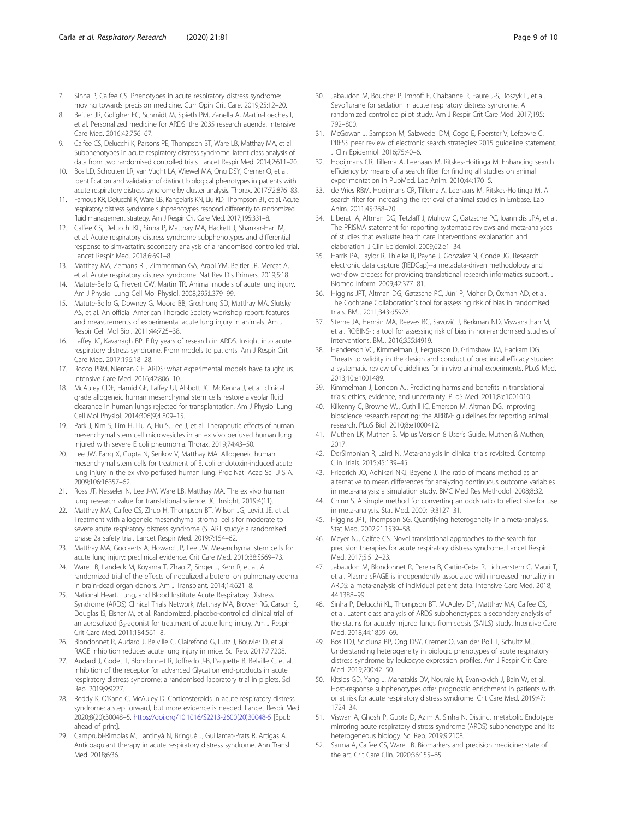- <span id="page-8-0"></span>7. Sinha P, Calfee CS. Phenotypes in acute respiratory distress syndrome: moving towards precision medicine. Curr Opin Crit Care. 2019;25:12–20.
- 8. Beitler JR, Goligher EC, Schmidt M, Spieth PM, Zanella A, Martin-Loeches I, et al. Personalized medicine for ARDS: the 2035 research agenda. Intensive Care Med. 2016;42:756–67.
- 9. Calfee CS, Delucchi K, Parsons PE, Thompson BT, Ware LB, Matthay MA, et al. Subphenotypes in acute respiratory distress syndrome: latent class analysis of data from two randomised controlled trials. Lancet Respir Med. 2014;2:611–20.
- 10. Bos LD, Schouten LR, van Vught LA, Wiewel MA, Ong DSY, Cremer O, et al. Identification and validation of distinct biological phenotypes in patients with acute respiratory distress syndrome by cluster analysis. Thorax. 2017;72:876–83.
- 11. Famous KR, Delucchi K, Ware LB, Kangelaris KN, Liu KD, Thompson BT, et al. Acute respiratory distress syndrome subphenotypes respond differently to randomized fluid management strategy. Am J Respir Crit Care Med. 2017;195:331–8.
- 12. Calfee CS, Delucchi KL, Sinha P, Matthay MA, Hackett J, Shankar-Hari M, et al. Acute respiratory distress syndrome subphenotypes and differential response to simvastatin: secondary analysis of a randomised controlled trial. Lancet Respir Med. 2018;6:691–8.
- 13. Matthay MA, Zemans RL, Zimmerman GA, Arabi YM, Beitler JR, Mercat A, et al. Acute respiratory distress syndrome. Nat Rev Dis Primers. 2019;5:18. 14. Matute-Bello G, Frevert CW, Martin TR. Animal models of acute lung injury.
- Am J Physiol Lung Cell Mol Physiol. 2008;295:L379–99. 15. Matute-Bello G, Downey G, Moore BB, Groshong SD, Matthay MA, Slutsky
- AS, et al. An official American Thoracic Society workshop report: features and measurements of experimental acute lung injury in animals. Am J Respir Cell Mol Biol. 2011;44:725–38.
- 16. Laffey JG, Kavanagh BP. Fifty years of research in ARDS. Insight into acute respiratory distress syndrome. From models to patients. Am J Respir Crit Care Med. 2017;196:18–28.
- 17. Rocco PRM, Nieman GF. ARDS: what experimental models have taught us. Intensive Care Med. 2016;42:806–10.
- 18. McAuley CDF, Hamid GF, Laffey UI, Abbott JG. McKenna J, et al. clinical grade allogeneic human mesenchymal stem cells restore alveolar fluid clearance in human lungs rejected for transplantation. Am J Physiol Lung Cell Mol Physiol. 2014;306(9):L809–15.
- 19. Park J, Kim S, Lim H, Liu A, Hu S, Lee J, et al. Therapeutic effects of human mesenchymal stem cell microvesicles in an ex vivo perfused human lung injured with severe E coli pneumonia. Thorax. 2019;74:43–50.
- 20. Lee JW, Fang X, Gupta N, Serikov V, Matthay MA. Allogeneic human mesenchymal stem cells for treatment of E. coli endotoxin-induced acute lung injury in the ex vivo perfused human lung. Proc Natl Acad Sci U S A. 2009;106:16357–62.
- 21. Ross JT, Nesseler N, Lee J-W, Ware LB, Matthay MA. The ex vivo human lung: research value for translational science. JCI Insight. 2019;4(11).
- 22. Matthay MA, Calfee CS, Zhuo H, Thompson BT, Wilson JG, Levitt JE, et al. Treatment with allogeneic mesenchymal stromal cells for moderate to severe acute respiratory distress syndrome (START study): a randomised phase 2a safety trial. Lancet Respir Med. 2019;7:154–62.
- 23. Matthay MA, Goolaerts A, Howard JP, Lee JW. Mesenchymal stem cells for acute lung injury: preclinical evidence. Crit Care Med. 2010;38:S569–73.
- 24. Ware LB, Landeck M, Koyama T, Zhao Z, Singer J, Kern R, et al. A randomized trial of the effects of nebulized albuterol on pulmonary edema in brain-dead organ donors. Am J Transplant. 2014;14:621–8.
- 25. National Heart, Lung, and Blood Institute Acute Respiratory Distress Syndrome (ARDS) Clinical Trials Network, Matthay MA, Brower RG, Carson S, Douglas IS, Eisner M, et al. Randomized, placebo-controlled clinical trial of an aerosolized β<sub>2</sub>-agonist for treatment of acute lung injury. Am J Respir Crit Care Med. 2011;184:561–8.
- 26. Blondonnet R, Audard J, Belville C, Clairefond G, Lutz J, Bouvier D, et al. RAGE inhibition reduces acute lung injury in mice. Sci Rep. 2017;7:7208.
- 27. Audard J, Godet T, Blondonnet R, Joffredo J-B, Paquette B, Belville C, et al. Inhibition of the receptor for advanced Glycation end-products in acute respiratory distress syndrome: a randomised laboratory trial in piglets. Sci Rep. 2019;9:9227.
- 28. Reddy K, O'Kane C, McAuley D. Corticosteroids in acute respiratory distress syndrome: a step forward, but more evidence is needed. Lancet Respir Med. 2020;8(20):30048–5. [https://doi.org/10.1016/S2213-2600\(20\)30048-5](https://doi.org/10.1016/S2213-2600(20)30048-5) [Epub ahead of print].
- 29. Camprubí-Rimblas M, Tantinyà N, Bringué J, Guillamat-Prats R, Artigas A. Anticoagulant therapy in acute respiratory distress syndrome. Ann Transl Med. 2018;6:36.
- 30. Jabaudon M, Boucher P, Imhoff E, Chabanne R, Faure J-S, Roszyk L, et al. Sevoflurane for sedation in acute respiratory distress syndrome. A randomized controlled pilot study. Am J Respir Crit Care Med. 2017;195: 792–800.
- 31. McGowan J, Sampson M, Salzwedel DM, Cogo E, Foerster V, Lefebvre C. PRESS peer review of electronic search strategies: 2015 guideline statement. J Clin Epidemiol. 2016;75:40–6.
- 32. Hooijmans CR, Tillema A, Leenaars M, Ritskes-Hoitinga M. Enhancing search efficiency by means of a search filter for finding all studies on animal experimentation in PubMed. Lab Anim. 2010;44:170–5.
- 33. de Vries RBM, Hooijmans CR, Tillema A, Leenaars M, Ritskes-Hoitinga M. A search filter for increasing the retrieval of animal studies in Embase. Lab Anim. 2011;45:268–70.
- 34. Liberati A, Altman DG, Tetzlaff J, Mulrow C, Gøtzsche PC, Ioannidis JPA, et al. The PRISMA statement for reporting systematic reviews and meta-analyses of studies that evaluate health care interventions: explanation and elaboration. J Clin Epidemiol. 2009;62:e1–34.
- 35. Harris PA, Taylor R, Thielke R, Payne J, Gonzalez N, Conde JG. Research electronic data capture (REDCap)--a metadata-driven methodology and workflow process for providing translational research informatics support. J Biomed Inform. 2009;42:377–81.
- 36. Higgins JPT, Altman DG, Gøtzsche PC, Jüni P, Moher D, Oxman AD, et al. The Cochrane Collaboration's tool for assessing risk of bias in randomised trials. BMJ. 2011;343:d5928.
- 37. Sterne JA, Hernán MA, Reeves BC, Savović J, Berkman ND, Viswanathan M, et al. ROBINS-I: a tool for assessing risk of bias in non-randomised studies of interventions. BMJ. 2016;355:i4919.
- 38. Henderson VC, Kimmelman J, Fergusson D, Grimshaw JM, Hackam DG. Threats to validity in the design and conduct of preclinical efficacy studies: a systematic review of guidelines for in vivo animal experiments. PLoS Med. 2013;10:e1001489.
- 39. Kimmelman J, London AJ. Predicting harms and benefits in translational trials: ethics, evidence, and uncertainty. PLoS Med. 2011;8:e1001010.
- 40. Kilkenny C, Browne WJ, Cuthill IC, Emerson M, Altman DG. Improving bioscience research reporting: the ARRIVE guidelines for reporting animal research. PLoS Biol. 2010;8:e1000412.
- 41. Muthen LK, Muthen B. Mplus Version 8 User's Guide. Muthen & Muthen; 2017.
- 42. DerSimonian R, Laird N. Meta-analysis in clinical trials revisited. Contemp Clin Trials. 2015;45:139–45.
- 43. Friedrich JO, Adhikari NKJ, Beyene J. The ratio of means method as an alternative to mean differences for analyzing continuous outcome variables in meta-analysis: a simulation study. BMC Med Res Methodol. 2008;8:32.
- 44. Chinn S. A simple method for converting an odds ratio to effect size for use in meta-analysis. Stat Med. 2000;19:3127–31.
- 45. Higgins JPT, Thompson SG. Quantifying heterogeneity in a meta-analysis. Stat Med. 2002;21:1539–58.
- 46. Meyer NJ, Calfee CS. Novel translational approaches to the search for precision therapies for acute respiratory distress syndrome. Lancet Respir Med. 2017;5:512–23.
- 47. Jabaudon M, Blondonnet R, Pereira B, Cartin-Ceba R, Lichtenstern C, Mauri T, et al. Plasma sRAGE is independently associated with increased mortality in ARDS: a meta-analysis of individual patient data. Intensive Care Med. 2018; 44:1388–99.
- 48. Sinha P, Delucchi KL, Thompson BT, McAuley DF, Matthay MA, Calfee CS, et al. Latent class analysis of ARDS subphenotypes: a secondary analysis of the statins for acutely injured lungs from sepsis (SAILS) study. Intensive Care Med. 2018;44:1859–69.
- 49. Bos LDJ, Scicluna BP, Ong DSY, Cremer O, van der Poll T, Schultz MJ. Understanding heterogeneity in biologic phenotypes of acute respiratory distress syndrome by leukocyte expression profiles. Am J Respir Crit Care Med. 2019;200:42–50.
- 50. Kitsios GD, Yang L, Manatakis DV, Nouraie M, Evankovich J, Bain W, et al. Host-response subphenotypes offer prognostic enrichment in patients with or at risk for acute respiratory distress syndrome. Crit Care Med. 2019;47: 1724–34.
- 51. Viswan A, Ghosh P, Gupta D, Azim A, Sinha N. Distinct metabolic Endotype mirroring acute respiratory distress syndrome (ARDS) subphenotype and its heterogeneous biology. Sci Rep. 2019;9:2108.
- 52. Sarma A, Calfee CS, Ware LB. Biomarkers and precision medicine: state of the art. Crit Care Clin. 2020;36:155–65.